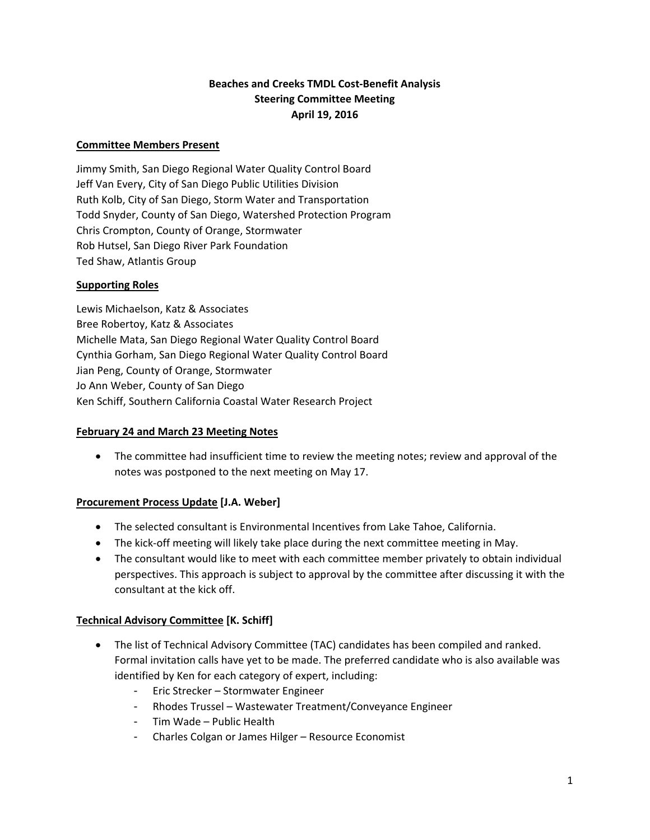# **Beaches and Creeks TMDL Cost‐Benefit Analysis Steering Committee Meeting April 19, 2016**

### **Committee Members Present**

Jimmy Smith, San Diego Regional Water Quality Control Board Jeff Van Every, City of San Diego Public Utilities Division Ruth Kolb, City of San Diego, Storm Water and Transportation Todd Snyder, County of San Diego, Watershed Protection Program Chris Crompton, County of Orange, Stormwater Rob Hutsel, San Diego River Park Foundation Ted Shaw, Atlantis Group

### **Supporting Roles**

Lewis Michaelson, Katz & Associates Bree Robertoy, Katz & Associates Michelle Mata, San Diego Regional Water Quality Control Board Cynthia Gorham, San Diego Regional Water Quality Control Board Jian Peng, County of Orange, Stormwater Jo Ann Weber, County of San Diego Ken Schiff, Southern California Coastal Water Research Project

#### **February 24 and March 23 Meeting Notes**

 The committee had insufficient time to review the meeting notes; review and approval of the notes was postponed to the next meeting on May 17.

## **Procurement Process Update [J.A. Weber]**

- The selected consultant is Environmental Incentives from Lake Tahoe, California.
- The kick-off meeting will likely take place during the next committee meeting in May.
- The consultant would like to meet with each committee member privately to obtain individual perspectives. This approach is subject to approval by the committee after discussing it with the consultant at the kick off.

## **Technical Advisory Committee [K. Schiff]**

- The list of Technical Advisory Committee (TAC) candidates has been compiled and ranked. Formal invitation calls have yet to be made. The preferred candidate who is also available was identified by Ken for each category of expert, including:
	- Eric Strecker Stormwater Engineer
	- Rhodes Trussel Wastewater Treatment/Conveyance Engineer
	- Tim Wade Public Health
	- Charles Colgan or James Hilger Resource Economist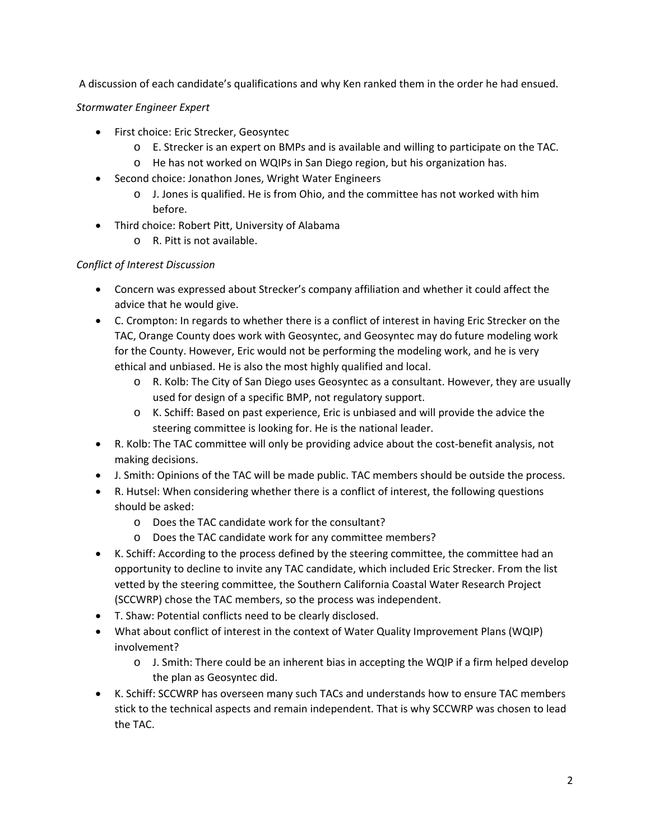A discussion of each candidate's qualifications and why Ken ranked them in the order he had ensued.

# *Stormwater Engineer Expert*

- First choice: Eric Strecker, Geosyntec
	- o E. Strecker is an expert on BMPs and is available and willing to participate on the TAC.
	- o He has not worked on WQIPs in San Diego region, but his organization has.
- Second choice: Jonathon Jones, Wright Water Engineers
	- o J. Jones is qualified. He is from Ohio, and the committee has not worked with him before.
- Third choice: Robert Pitt, University of Alabama
	- o R. Pitt is not available.

# *Conflict of Interest Discussion*

- Concern was expressed about Strecker's company affiliation and whether it could affect the advice that he would give.
- C. Crompton: In regards to whether there is a conflict of interest in having Eric Strecker on the TAC, Orange County does work with Geosyntec, and Geosyntec may do future modeling work for the County. However, Eric would not be performing the modeling work, and he is very ethical and unbiased. He is also the most highly qualified and local.
	- o R. Kolb: The City of San Diego uses Geosyntec as a consultant. However, they are usually used for design of a specific BMP, not regulatory support.
	- o K. Schiff: Based on past experience, Eric is unbiased and will provide the advice the steering committee is looking for. He is the national leader.
- R. Kolb: The TAC committee will only be providing advice about the cost-benefit analysis, not making decisions.
- J. Smith: Opinions of the TAC will be made public. TAC members should be outside the process.
- R. Hutsel: When considering whether there is a conflict of interest, the following questions should be asked:
	- o Does the TAC candidate work for the consultant?
	- o Does the TAC candidate work for any committee members?
- K. Schiff: According to the process defined by the steering committee, the committee had an opportunity to decline to invite any TAC candidate, which included Eric Strecker. From the list vetted by the steering committee, the Southern California Coastal Water Research Project (SCCWRP) chose the TAC members, so the process was independent.
- T. Shaw: Potential conflicts need to be clearly disclosed.
- What about conflict of interest in the context of Water Quality Improvement Plans (WQIP) involvement?
	- o J. Smith: There could be an inherent bias in accepting the WQIP if a firm helped develop the plan as Geosyntec did.
- K. Schiff: SCCWRP has overseen many such TACs and understands how to ensure TAC members stick to the technical aspects and remain independent. That is why SCCWRP was chosen to lead the TAC.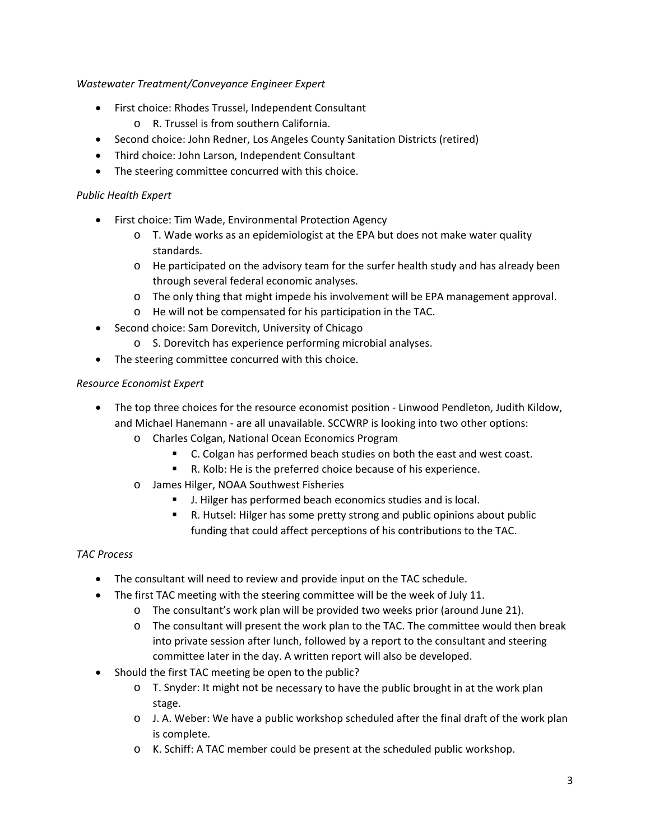# *Wastewater Treatment/Conveyance Engineer Expert*

- First choice: Rhodes Trussel, Independent Consultant
	- o R. Trussel is from southern California.
- Second choice: John Redner, Los Angeles County Sanitation Districts (retired)
- Third choice: John Larson, Independent Consultant
- The steering committee concurred with this choice.

## *Public Health Expert*

- First choice: Tim Wade, Environmental Protection Agency
	- $\circ$  T. Wade works as an epidemiologist at the EPA but does not make water quality standards.
	- o He participated on the advisory team for the surfer health study and has already been through several federal economic analyses.
	- o The only thing that might impede his involvement will be EPA management approval.
	- o He will not be compensated for his participation in the TAC.
- Second choice: Sam Dorevitch, University of Chicago
	- o S. Dorevitch has experience performing microbial analyses.
- The steering committee concurred with this choice.

## *Resource Economist Expert*

- The top three choices for the resource economist position ‐ Linwood Pendleton, Judith Kildow, and Michael Hanemann ‐ are all unavailable. SCCWRP is looking into two other options:
	- o Charles Colgan, National Ocean Economics Program
		- C. Colgan has performed beach studies on both the east and west coast.
		- R. Kolb: He is the preferred choice because of his experience.
	- o James Hilger, NOAA Southwest Fisheries
		- **J.** Hilger has performed beach economics studies and is local.
		- R. Hutsel: Hilger has some pretty strong and public opinions about public funding that could affect perceptions of his contributions to the TAC.

## *TAC Process*

- The consultant will need to review and provide input on the TAC schedule.
- The first TAC meeting with the steering committee will be the week of July 11.
	- o The consultant's work plan will be provided two weeks prior (around June 21).
	- o The consultant will present the work plan to the TAC. The committee would then break into private session after lunch, followed by a report to the consultant and steering committee later in the day. A written report will also be developed.
- Should the first TAC meeting be open to the public?
	- o T. Snyder: It might not be necessary to have the public brought in at the work plan stage.
	- $\circ$  J. A. Weber: We have a public workshop scheduled after the final draft of the work plan is complete.
	- o K. Schiff: A TAC member could be present at the scheduled public workshop.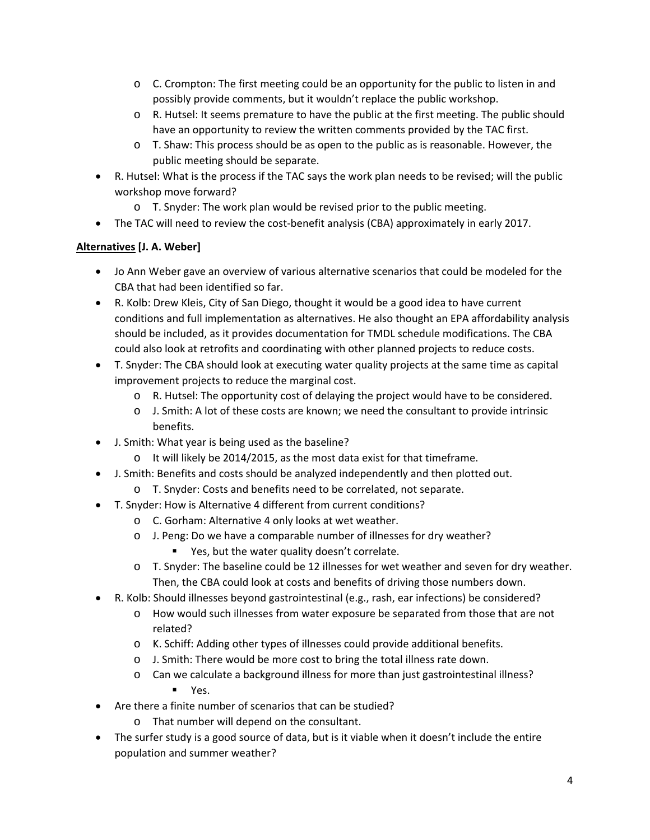- $\circ$  C. Crompton: The first meeting could be an opportunity for the public to listen in and possibly provide comments, but it wouldn't replace the public workshop.
- o R. Hutsel: It seems premature to have the public at the first meeting. The public should have an opportunity to review the written comments provided by the TAC first.
- o T. Shaw: This process should be as open to the public as is reasonable. However, the public meeting should be separate.
- R. Hutsel: What is the process if the TAC says the work plan needs to be revised; will the public workshop move forward?
	- $\circ$  T. Snyder: The work plan would be revised prior to the public meeting.
- The TAC will need to review the cost-benefit analysis (CBA) approximately in early 2017.

# **Alternatives [J. A. Weber]**

- Jo Ann Weber gave an overview of various alternative scenarios that could be modeled for the CBA that had been identified so far.
- R. Kolb: Drew Kleis, City of San Diego, thought it would be a good idea to have current conditions and full implementation as alternatives. He also thought an EPA affordability analysis should be included, as it provides documentation for TMDL schedule modifications. The CBA could also look at retrofits and coordinating with other planned projects to reduce costs.
- T. Snyder: The CBA should look at executing water quality projects at the same time as capital improvement projects to reduce the marginal cost.
	- o R. Hutsel: The opportunity cost of delaying the project would have to be considered.
	- o J. Smith: A lot of these costs are known; we need the consultant to provide intrinsic benefits.
- J. Smith: What year is being used as the baseline?
	- o It will likely be 2014/2015, as the most data exist for that timeframe.
- J. Smith: Benefits and costs should be analyzed independently and then plotted out.
	- o T. Snyder: Costs and benefits need to be correlated, not separate.
- T. Snyder: How is Alternative 4 different from current conditions?
	- o C. Gorham: Alternative 4 only looks at wet weather.
		- o J. Peng: Do we have a comparable number of illnesses for dry weather?
			- Yes, but the water quality doesn't correlate.
		- o T. Snyder: The baseline could be 12 illnesses for wet weather and seven for dry weather. Then, the CBA could look at costs and benefits of driving those numbers down.
- R. Kolb: Should illnesses beyond gastrointestinal (e.g., rash, ear infections) be considered?
	- o How would such illnesses from water exposure be separated from those that are not related?
	- o K. Schiff: Adding other types of illnesses could provide additional benefits.
	- o J. Smith: There would be more cost to bring the total illness rate down.
	- o Can we calculate a background illness for more than just gastrointestinal illness? **Yes.**
- Are there a finite number of scenarios that can be studied?
	- o That number will depend on the consultant.
- The surfer study is a good source of data, but is it viable when it doesn't include the entire population and summer weather?